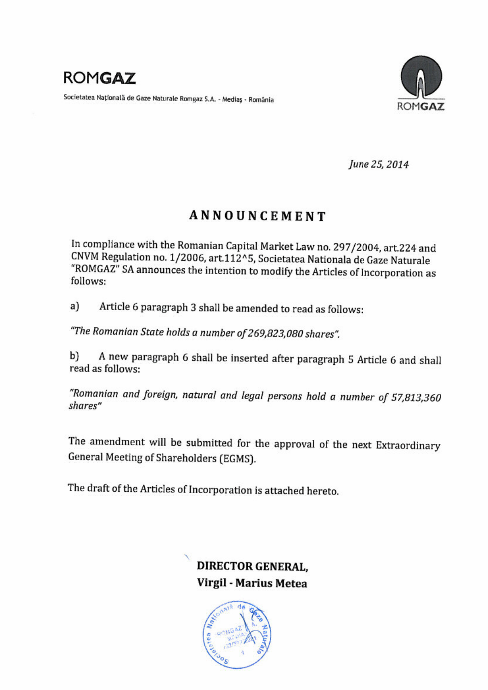

Societatea Natională de Gaze Naturale Romgaz S.A. - Mediaș - România



June 25, 2014

# **ANNOUNCEMENT**

In compliance with the Romanian Capital Market Law no. 297/2004, art.224 and CNVM Regulation no. 1/2006, art.112^5, Societatea Nationala de Gaze Naturale "ROMGAZ" SA announces the intention to modify the Articles of Incorporation as follows:

Article 6 paragraph 3 shall be amended to read as follows:  $a)$ 

"The Romanian State holds a number of 269,823,080 shares".

A new paragraph 6 shall be inserted after paragraph 5 Article 6 and shall b) read as follows:

"Romanian and foreign, natural and legal persons hold a number of 57,813,360 shares"

The amendment will be submitted for the approval of the next Extraordinary General Meeting of Shareholders (EGMS).

The draft of the Articles of Incorporation is attached hereto.

**DIRECTOR GENERAL.** Virgil - Marius Metea

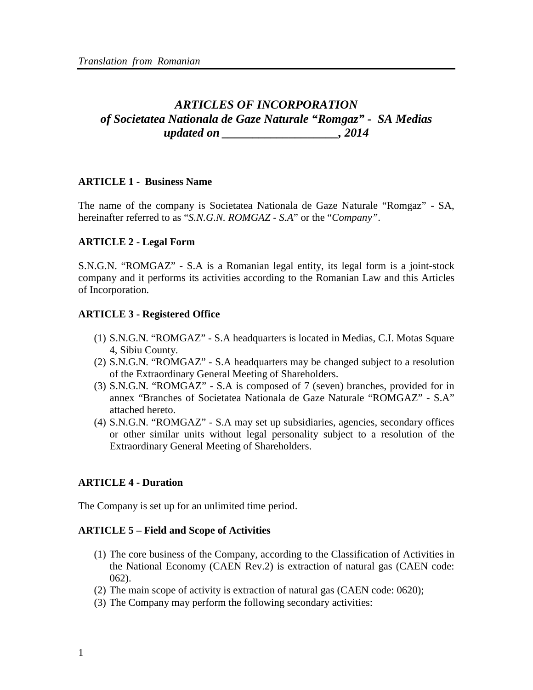## *ARTICLES OF INCORPORATION of Societatea Nationala de Gaze Naturale "Romgaz" - SA Medias updated on \_\_\_\_\_\_\_\_\_\_\_\_\_\_\_\_\_\_\_, 2014*

#### **ARTICLE 1 - Business Name**

The name of the company is Societatea Nationala de Gaze Naturale "Romgaz" - SA, hereinafter referred to as "*S.N.G.N. ROMGAZ - S.A*" or the "*Company"*.

#### **ARTICLE 2 - Legal Form**

S.N.G.N. "ROMGAZ" - S.A is a Romanian legal entity, its legal form is a joint-stock company and it performs its activities according to the Romanian Law and this Articles of Incorporation.

#### **ARTICLE 3 - Registered Office**

- (1) S.N.G.N. "ROMGAZ" S.A headquarters is located in Medias, C.I. Motas Square 4, Sibiu County.
- (2) S.N.G.N. "ROMGAZ" S.A headquarters may be changed subject to a resolution of the Extraordinary General Meeting of Shareholders.
- (3) S.N.G.N. "ROMGAZ" S.A is composed of 7 (seven) branches, provided for in annex "Branches of Societatea Nationala de Gaze Naturale "ROMGAZ" - S.A" attached hereto.
- (4) S.N.G.N. "ROMGAZ" S.A may set up subsidiaries, agencies, secondary offices or other similar units without legal personality subject to a resolution of the Extraordinary General Meeting of Shareholders.

#### **ARTICLE 4 - Duration**

The Company is set up for an unlimited time period.

#### **ARTICLE 5 – Field and Scope of Activities**

- (1) The core business of the Company, according to the Classification of Activities in the National Economy (CAEN Rev.2) is extraction of natural gas (CAEN code: 062).
- (2) The main scope of activity is extraction of natural gas (CAEN code: 0620);
- (3) The Company may perform the following secondary activities: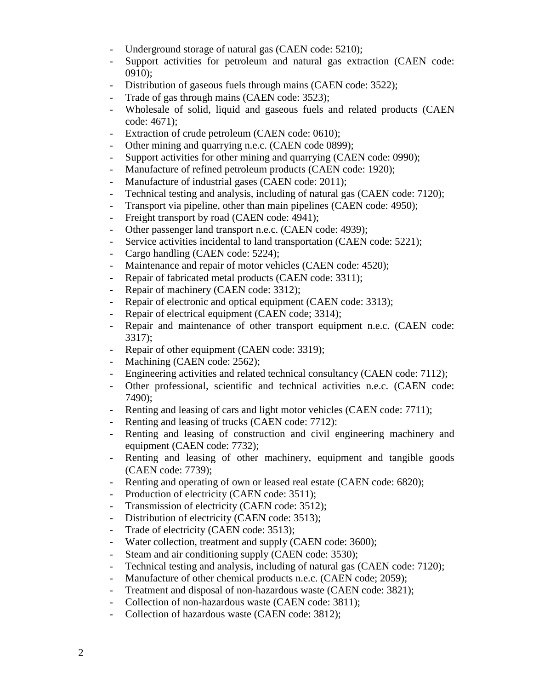- Underground storage of natural gas (CAEN code: 5210);
- Support activities for petroleum and natural gas extraction (CAEN code: 0910);
- Distribution of gaseous fuels through mains (CAEN code: 3522);
- Trade of gas through mains (CAEN code: 3523);
- Wholesale of solid, liquid and gaseous fuels and related products (CAEN code: 4671);
- Extraction of crude petroleum (CAEN code: 0610);
- Other mining and quarrying n.e.c. (CAEN code 0899);
- Support activities for other mining and quarrying (CAEN code: 0990);
- Manufacture of refined petroleum products (CAEN code: 1920);
- Manufacture of industrial gases (CAEN code: 2011);
- Technical testing and analysis, including of natural gas (CAEN code: 7120);
- Transport via pipeline, other than main pipelines (CAEN code: 4950);
- Freight transport by road (CAEN code: 4941);
- Other passenger land transport n.e.c. (CAEN code: 4939);
- Service activities incidental to land transportation (CAEN code: 5221);
- Cargo handling (CAEN code: 5224);
- Maintenance and repair of motor vehicles (CAEN code: 4520);
- Repair of fabricated metal products (CAEN code: 3311);
- Repair of machinery (CAEN code: 3312);
- Repair of electronic and optical equipment (CAEN code: 3313);
- Repair of electrical equipment (CAEN code; 3314);
- Repair and maintenance of other transport equipment n.e.c. (CAEN code: 3317);
- Repair of other equipment (CAEN code: 3319);
- Machining (CAEN code: 2562);
- Engineering activities and related technical consultancy (CAEN code: 7112);
- Other professional, scientific and technical activities n.e.c. (CAEN code: 7490);
- Renting and leasing of cars and light motor vehicles (CAEN code: 7711);
- Renting and leasing of trucks (CAEN code: 7712):
- Renting and leasing of construction and civil engineering machinery and equipment (CAEN code: 7732);
- Renting and leasing of other machinery, equipment and tangible goods (CAEN code: 7739);
- Renting and operating of own or leased real estate (CAEN code: 6820);
- Production of electricity (CAEN code: 3511);
- Transmission of electricity (CAEN code: 3512);
- Distribution of electricity (CAEN code: 3513);
- Trade of electricity (CAEN code: 3513);
- Water collection, treatment and supply (CAEN code: 3600);
- Steam and air conditioning supply (CAEN code: 3530);
- Technical testing and analysis, including of natural gas (CAEN code: 7120);
- Manufacture of other chemical products n.e.c. (CAEN code; 2059);
- Treatment and disposal of non-hazardous waste (CAEN code: 3821);
- Collection of non-hazardous waste (CAEN code: 3811);
- Collection of hazardous waste (CAEN code: 3812);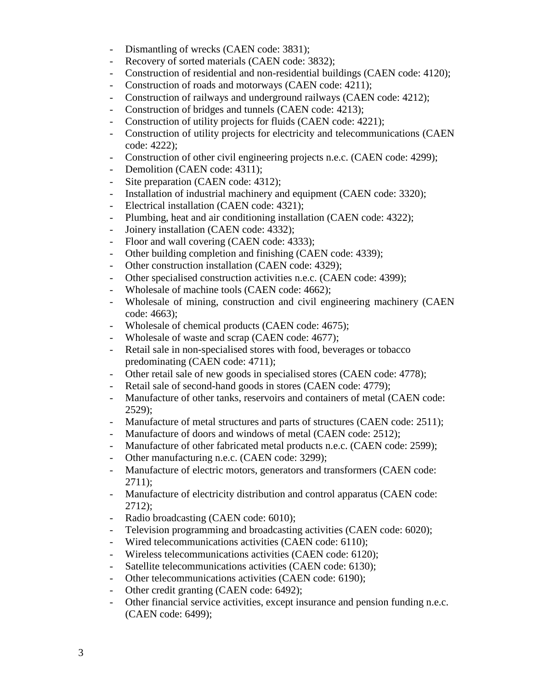- Dismantling of wrecks (CAEN code: 3831);
- Recovery of sorted materials (CAEN code: 3832);
- Construction of residential and non-residential buildings (CAEN code: 4120);
- Construction of roads and motorways (CAEN code: 4211);
- Construction of railways and underground railways (CAEN code: 4212);
- Construction of bridges and tunnels (CAEN code: 4213);
- Construction of utility projects for fluids (CAEN code: 4221);
- Construction of utility projects for electricity and telecommunications (CAEN code: 4222);
- Construction of other civil engineering projects n.e.c. (CAEN code: 4299);
- Demolition (CAEN code: 4311);
- Site preparation (CAEN code: 4312);
- Installation of industrial machinery and equipment (CAEN code: 3320);
- Electrical installation (CAEN code: 4321);
- Plumbing, heat and air conditioning installation (CAEN code: 4322);
- Joinery installation (CAEN code: 4332);
- Floor and wall covering (CAEN code: 4333);
- Other building completion and finishing (CAEN code: 4339);
- Other construction installation (CAEN code: 4329);
- Other specialised construction activities n.e.c. (CAEN code: 4399);
- Wholesale of machine tools (CAEN code: 4662);
- Wholesale of mining, construction and civil engineering machinery (CAEN code: 4663);
- Wholesale of chemical products (CAEN code: 4675);
- Wholesale of waste and scrap (CAEN code: 4677);
- Retail sale in non-specialised stores with food, beverages or tobacco predominating (CAEN code: 4711);
- Other retail sale of new goods in specialised stores (CAEN code: 4778);
- Retail sale of second-hand goods in stores (CAEN code: 4779);
- Manufacture of other tanks, reservoirs and containers of metal (CAEN code: 2529);
- Manufacture of metal structures and parts of structures (CAEN code: 2511);
- Manufacture of doors and windows of metal (CAEN code: 2512);
- Manufacture of other fabricated metal products n.e.c. (CAEN code: 2599);
- Other manufacturing n.e.c. (CAEN code: 3299);
- Manufacture of electric motors, generators and transformers (CAEN code: 2711);
- Manufacture of electricity distribution and control apparatus (CAEN code: 2712);
- Radio broadcasting (CAEN code: 6010);
- Television programming and broadcasting activities (CAEN code: 6020);
- Wired telecommunications activities (CAEN code: 6110);
- Wireless telecommunications activities (CAEN code: 6120);
- Satellite telecommunications activities (CAEN code: 6130);
- Other telecommunications activities (CAEN code: 6190);
- Other credit granting (CAEN code: 6492);
- Other financial service activities, except insurance and pension funding n.e.c. (CAEN code: 6499);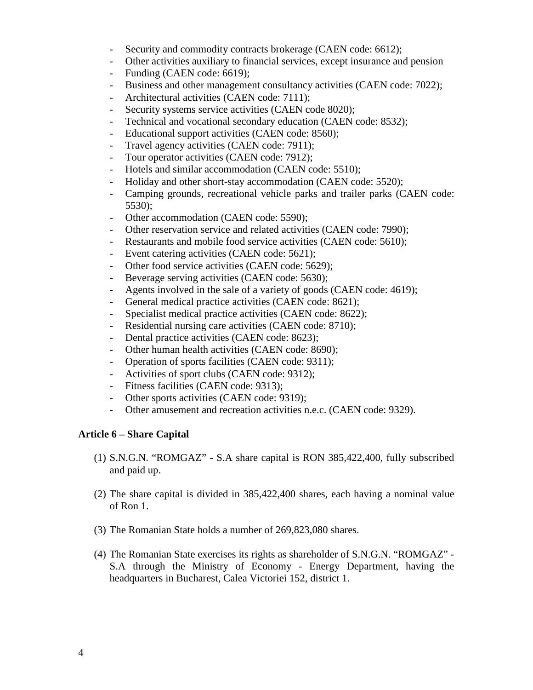- Security and commodity contracts brokerage (CAEN code: 6612);
- Other activities auxiliary to financial services, except insurance and pension
- Funding (CAEN code: 6619);
- Business and other management consultancy activities (CAEN code: 7022);
- Architectural activities (CAEN code: 7111);
- Security systems service activities (CAEN code 8020);
- Technical and vocational secondary education (CAEN code: 8532);
- Educational support activities (CAEN code: 8560);
- Travel agency activities (CAEN code: 7911);
- Tour operator activities (CAEN code: 7912);
- Hotels and similar accommodation (CAEN code: 5510);
- Holiday and other short-stay accommodation (CAEN code: 5520);
- Camping grounds, recreational vehicle parks and trailer parks (CAEN code: 5530);
- Other accommodation (CAEN code: 5590);
- Other reservation service and related activities (CAEN code: 7990);
- Restaurants and mobile food service activities (CAEN code: 5610);
- Event catering activities (CAEN code: 5621);
- Other food service activities (CAEN code: 5629);
- Beverage serving activities (CAEN code: 5630);
- Agents involved in the sale of a variety of goods (CAEN code: 4619);
- General medical practice activities (CAEN code: 8621);
- Specialist medical practice activities (CAEN code: 8622);
- Residential nursing care activities (CAEN code: 8710);
- Dental practice activities (CAEN code: 8623);
- Other human health activities (CAEN code: 8690);
- Operation of sports facilities (CAEN code: 9311);
- Activities of sport clubs (CAEN code: 9312);
- Fitness facilities (CAEN code: 9313);
- Other sports activities (CAEN code: 9319);
- Other amusement and recreation activities n.e.c. (CAEN code: 9329).

## **Article 6 – Share Capital**

- (1) S.N.G.N. "ROMGAZ" S.A share capital is RON 385,422,400, fully subscribed and paid up.
- (2) The share capital is divided in 385,422,400 shares, each having a nominal value of Ron 1.
- (3) The Romanian State holds a number of 269,823,080 shares.
- (4) The Romanian State exercises its rights as shareholder of S.N.G.N. "ROMGAZ" S.A through the Ministry of Economy - Energy Department, having the headquarters in Bucharest, Calea Victoriei 152, district 1.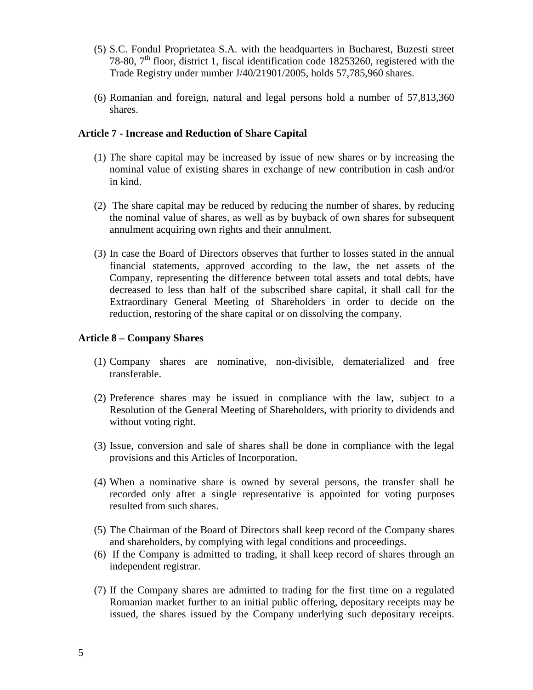- (5) S.C. Fondul Proprietatea S.A. with the headquarters in Bucharest, Buzesti street 78-80,  $7<sup>th</sup>$  floor, district 1, fiscal identification code 18253260, registered with the Trade Registry under number J/40/21901/2005, holds 57,785,960 shares.
- (6) Romanian and foreign, natural and legal persons hold a number of 57,813,360 shares.

#### **Article 7 - Increase and Reduction of Share Capital**

- (1) The share capital may be increased by issue of new shares or by increasing the nominal value of existing shares in exchange of new contribution in cash and/or in kind.
- (2) The share capital may be reduced by reducing the number of shares, by reducing the nominal value of shares, as well as by buyback of own shares for subsequent annulment acquiring own rights and their annulment.
- (3) In case the Board of Directors observes that further to losses stated in the annual financial statements, approved according to the law, the net assets of the Company, representing the difference between total assets and total debts, have decreased to less than half of the subscribed share capital, it shall call for the Extraordinary General Meeting of Shareholders in order to decide on the reduction, restoring of the share capital or on dissolving the company.

#### **Article 8 – Company Shares**

- (1) Company shares are nominative, non-divisible, dematerialized and free transferable.
- (2) Preference shares may be issued in compliance with the law, subject to a Resolution of the General Meeting of Shareholders, with priority to dividends and without voting right.
- (3) Issue, conversion and sale of shares shall be done in compliance with the legal provisions and this Articles of Incorporation.
- (4) When a nominative share is owned by several persons, the transfer shall be recorded only after a single representative is appointed for voting purposes resulted from such shares.
- (5) The Chairman of the Board of Directors shall keep record of the Company shares and shareholders, by complying with legal conditions and proceedings.
- (6) If the Company is admitted to trading, it shall keep record of shares through an independent registrar.
- (7) If the Company shares are admitted to trading for the first time on a regulated Romanian market further to an initial public offering, depositary receipts may be issued, the shares issued by the Company underlying such depositary receipts.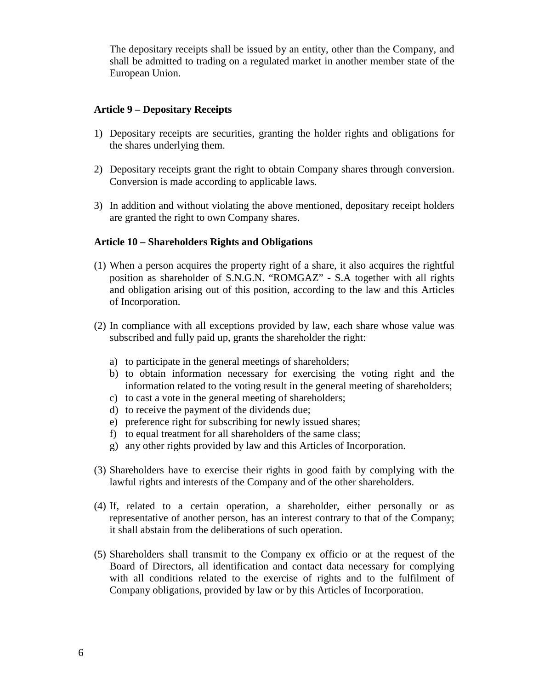The depositary receipts shall be issued by an entity, other than the Company, and shall be admitted to trading on a regulated market in another member state of the European Union.

#### **Article 9 – Depositary Receipts**

- 1) Depositary receipts are securities, granting the holder rights and obligations for the shares underlying them.
- 2) Depositary receipts grant the right to obtain Company shares through conversion. Conversion is made according to applicable laws.
- 3) In addition and without violating the above mentioned, depositary receipt holders are granted the right to own Company shares.

#### **Article 10 – Shareholders Rights and Obligations**

- (1) When a person acquires the property right of a share, it also acquires the rightful position as shareholder of S.N.G.N. "ROMGAZ" - S.A together with all rights and obligation arising out of this position, according to the law and this Articles of Incorporation.
- (2) In compliance with all exceptions provided by law, each share whose value was subscribed and fully paid up, grants the shareholder the right:
	- a) to participate in the general meetings of shareholders;
	- b) to obtain information necessary for exercising the voting right and the information related to the voting result in the general meeting of shareholders;
	- c) to cast a vote in the general meeting of shareholders;
	- d) to receive the payment of the dividends due;
	- e) preference right for subscribing for newly issued shares;
	- f) to equal treatment for all shareholders of the same class;
	- g) any other rights provided by law and this Articles of Incorporation.
- (3) Shareholders have to exercise their rights in good faith by complying with the lawful rights and interests of the Company and of the other shareholders.
- (4) If, related to a certain operation, a shareholder, either personally or as representative of another person, has an interest contrary to that of the Company; it shall abstain from the deliberations of such operation.
- (5) Shareholders shall transmit to the Company ex officio or at the request of the Board of Directors, all identification and contact data necessary for complying with all conditions related to the exercise of rights and to the fulfilment of Company obligations, provided by law or by this Articles of Incorporation.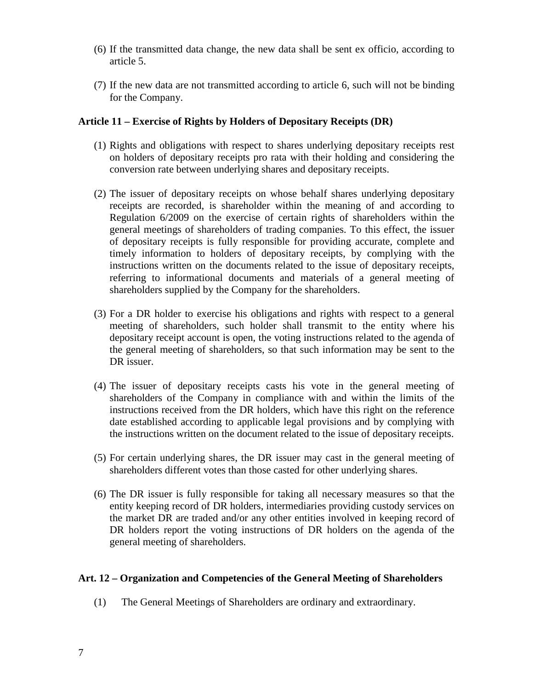- (6) If the transmitted data change, the new data shall be sent ex officio, according to article 5.
- (7) If the new data are not transmitted according to article 6, such will not be binding for the Company.

#### **Article 11 – Exercise of Rights by Holders of Depositary Receipts (DR)**

- (1) Rights and obligations with respect to shares underlying depositary receipts rest on holders of depositary receipts pro rata with their holding and considering the conversion rate between underlying shares and depositary receipts.
- (2) The issuer of depositary receipts on whose behalf shares underlying depositary receipts are recorded, is shareholder within the meaning of and according to Regulation 6/2009 on the exercise of certain rights of shareholders within the general meetings of shareholders of trading companies. To this effect, the issuer of depositary receipts is fully responsible for providing accurate, complete and timely information to holders of depositary receipts, by complying with the instructions written on the documents related to the issue of depositary receipts, referring to informational documents and materials of a general meeting of shareholders supplied by the Company for the shareholders.
- (3) For a DR holder to exercise his obligations and rights with respect to a general meeting of shareholders, such holder shall transmit to the entity where his depositary receipt account is open, the voting instructions related to the agenda of the general meeting of shareholders, so that such information may be sent to the DR issuer.
- (4) The issuer of depositary receipts casts his vote in the general meeting of shareholders of the Company in compliance with and within the limits of the instructions received from the DR holders, which have this right on the reference date established according to applicable legal provisions and by complying with the instructions written on the document related to the issue of depositary receipts.
- (5) For certain underlying shares, the DR issuer may cast in the general meeting of shareholders different votes than those casted for other underlying shares.
- (6) The DR issuer is fully responsible for taking all necessary measures so that the entity keeping record of DR holders, intermediaries providing custody services on the market DR are traded and/or any other entities involved in keeping record of DR holders report the voting instructions of DR holders on the agenda of the general meeting of shareholders.

## **Art. 12 – Organization and Competencies of the General Meeting of Shareholders**

(1) The General Meetings of Shareholders are ordinary and extraordinary.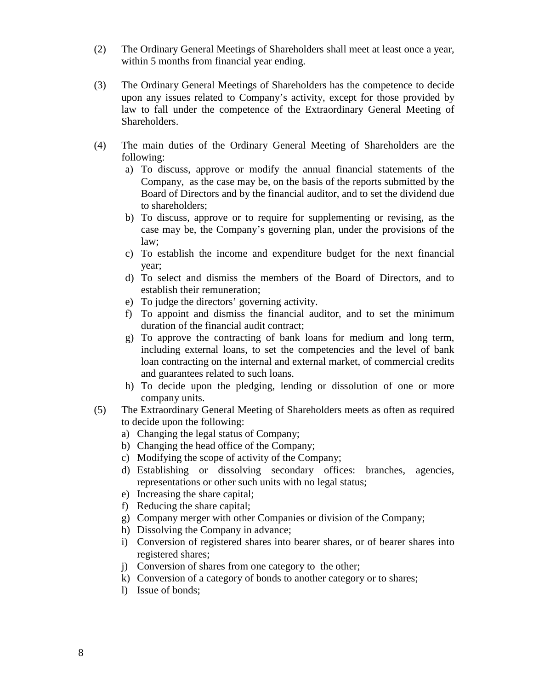- (2) The Ordinary General Meetings of Shareholders shall meet at least once a year, within 5 months from financial year ending.
- (3) The Ordinary General Meetings of Shareholders has the competence to decide upon any issues related to Company's activity, except for those provided by law to fall under the competence of the Extraordinary General Meeting of Shareholders.
- (4) The main duties of the Ordinary General Meeting of Shareholders are the following:
	- a) To discuss, approve or modify the annual financial statements of the Company, as the case may be, on the basis of the reports submitted by the Board of Directors and by the financial auditor, and to set the dividend due to shareholders;
	- b) To discuss, approve or to require for supplementing or revising, as the case may be, the Company's governing plan, under the provisions of the law;
	- c) To establish the income and expenditure budget for the next financial year;
	- d) To select and dismiss the members of the Board of Directors, and to establish their remuneration;
	- e) To judge the directors' governing activity.
	- f) To appoint and dismiss the financial auditor, and to set the minimum duration of the financial audit contract;
	- g) To approve the contracting of bank loans for medium and long term, including external loans, to set the competencies and the level of bank loan contracting on the internal and external market, of commercial credits and guarantees related to such loans.
	- h) To decide upon the pledging, lending or dissolution of one or more company units.
- (5) The Extraordinary General Meeting of Shareholders meets as often as required to decide upon the following:
	- a) Changing the legal status of Company;
	- b) Changing the head office of the Company;
	- c) Modifying the scope of activity of the Company;
	- d) Establishing or dissolving secondary offices: branches, agencies, representations or other such units with no legal status;
	- e) Increasing the share capital;
	- f) Reducing the share capital;
	- g) Company merger with other Companies or division of the Company;
	- h) Dissolving the Company in advance;
	- i) Conversion of registered shares into bearer shares, or of bearer shares into registered shares;
	- j) Conversion of shares from one category to the other;
	- k) Conversion of a category of bonds to another category or to shares;
	- l) Issue of bonds;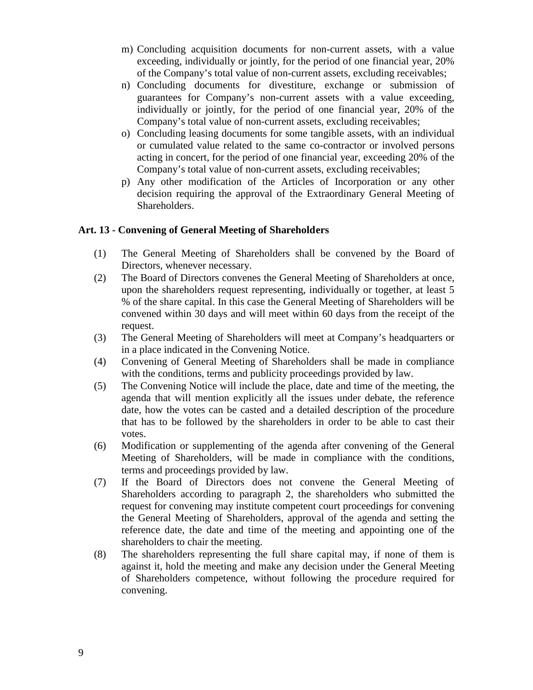- m) Concluding acquisition documents for non-current assets, with a value exceeding, individually or jointly, for the period of one financial year, 20% of the Company's total value of non-current assets, excluding receivables;
- n) Concluding documents for divestiture, exchange or submission of guarantees for Company's non-current assets with a value exceeding, individually or jointly, for the period of one financial year, 20% of the Company's total value of non-current assets, excluding receivables;
- o) Concluding leasing documents for some tangible assets, with an individual or cumulated value related to the same co-contractor or involved persons acting in concert, for the period of one financial year, exceeding 20% of the Company's total value of non-current assets, excluding receivables;
- p) Any other modification of the Articles of Incorporation or any other decision requiring the approval of the Extraordinary General Meeting of Shareholders.

## **Art. 13 - Convening of General Meeting of Shareholders**

- (1) The General Meeting of Shareholders shall be convened by the Board of Directors, whenever necessary.
- (2) The Board of Directors convenes the General Meeting of Shareholders at once, upon the shareholders request representing, individually or together, at least 5 % of the share capital. In this case the General Meeting of Shareholders will be convened within 30 days and will meet within 60 days from the receipt of the request.
- (3) The General Meeting of Shareholders will meet at Company's headquarters or in a place indicated in the Convening Notice.
- (4) Convening of General Meeting of Shareholders shall be made in compliance with the conditions, terms and publicity proceedings provided by law.
- (5) The Convening Notice will include the place, date and time of the meeting, the agenda that will mention explicitly all the issues under debate, the reference date, how the votes can be casted and a detailed description of the procedure that has to be followed by the shareholders in order to be able to cast their votes.
- (6) Modification or supplementing of the agenda after convening of the General Meeting of Shareholders, will be made in compliance with the conditions, terms and proceedings provided by law.
- (7) If the Board of Directors does not convene the General Meeting of Shareholders according to paragraph 2, the shareholders who submitted the request for convening may institute competent court proceedings for convening the General Meeting of Shareholders, approval of the agenda and setting the reference date, the date and time of the meeting and appointing one of the shareholders to chair the meeting.
- (8) The shareholders representing the full share capital may, if none of them is against it, hold the meeting and make any decision under the General Meeting of Shareholders competence, without following the procedure required for convening.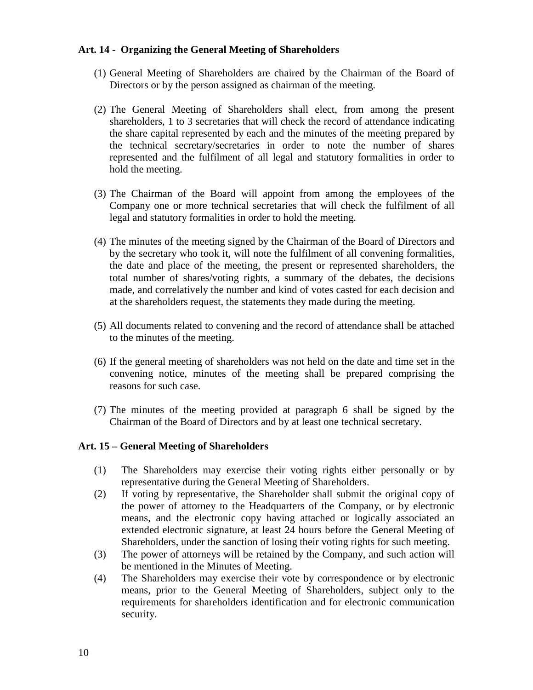#### **Art. 14 - Organizing the General Meeting of Shareholders**

- (1) General Meeting of Shareholders are chaired by the Chairman of the Board of Directors or by the person assigned as chairman of the meeting.
- (2) The General Meeting of Shareholders shall elect, from among the present shareholders, 1 to 3 secretaries that will check the record of attendance indicating the share capital represented by each and the minutes of the meeting prepared by the technical secretary/secretaries in order to note the number of shares represented and the fulfilment of all legal and statutory formalities in order to hold the meeting.
- (3) The Chairman of the Board will appoint from among the employees of the Company one or more technical secretaries that will check the fulfilment of all legal and statutory formalities in order to hold the meeting.
- (4) The minutes of the meeting signed by the Chairman of the Board of Directors and by the secretary who took it, will note the fulfilment of all convening formalities, the date and place of the meeting, the present or represented shareholders, the total number of shares/voting rights, a summary of the debates, the decisions made, and correlatively the number and kind of votes casted for each decision and at the shareholders request, the statements they made during the meeting.
- (5) All documents related to convening and the record of attendance shall be attached to the minutes of the meeting.
- (6) If the general meeting of shareholders was not held on the date and time set in the convening notice, minutes of the meeting shall be prepared comprising the reasons for such case.
- (7) The minutes of the meeting provided at paragraph 6 shall be signed by the Chairman of the Board of Directors and by at least one technical secretary.

#### **Art. 15 – General Meeting of Shareholders**

- (1) The Shareholders may exercise their voting rights either personally or by representative during the General Meeting of Shareholders.
- (2) If voting by representative, the Shareholder shall submit the original copy of the power of attorney to the Headquarters of the Company, or by electronic means, and the electronic copy having attached or logically associated an extended electronic signature, at least 24 hours before the General Meeting of Shareholders, under the sanction of losing their voting rights for such meeting.
- (3) The power of attorneys will be retained by the Company, and such action will be mentioned in the Minutes of Meeting.
- (4) The Shareholders may exercise their vote by correspondence or by electronic means, prior to the General Meeting of Shareholders, subject only to the requirements for shareholders identification and for electronic communication security.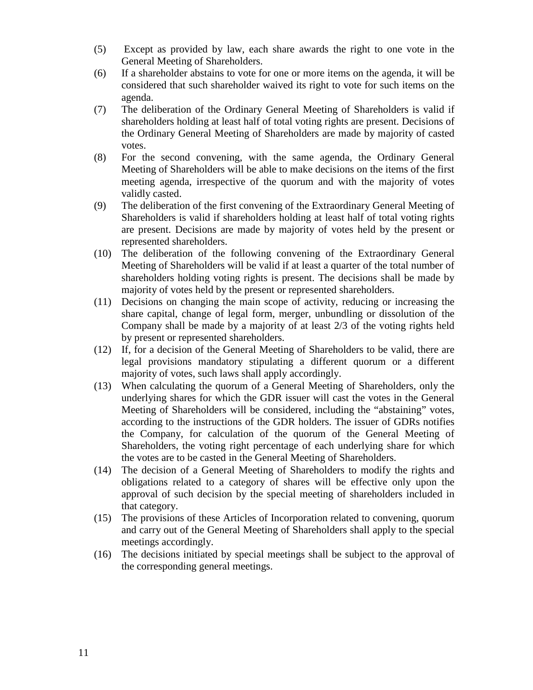- (5) Except as provided by law, each share awards the right to one vote in the General Meeting of Shareholders.
- (6) If a shareholder abstains to vote for one or more items on the agenda, it will be considered that such shareholder waived its right to vote for such items on the agenda.
- (7) The deliberation of the Ordinary General Meeting of Shareholders is valid if shareholders holding at least half of total voting rights are present. Decisions of the Ordinary General Meeting of Shareholders are made by majority of casted votes.
- (8) For the second convening, with the same agenda, the Ordinary General Meeting of Shareholders will be able to make decisions on the items of the first meeting agenda, irrespective of the quorum and with the majority of votes validly casted.
- (9) The deliberation of the first convening of the Extraordinary General Meeting of Shareholders is valid if shareholders holding at least half of total voting rights are present. Decisions are made by majority of votes held by the present or represented shareholders.
- (10) The deliberation of the following convening of the Extraordinary General Meeting of Shareholders will be valid if at least a quarter of the total number of shareholders holding voting rights is present. The decisions shall be made by majority of votes held by the present or represented shareholders.
- (11) Decisions on changing the main scope of activity, reducing or increasing the share capital, change of legal form, merger, unbundling or dissolution of the Company shall be made by a majority of at least 2/3 of the voting rights held by present or represented shareholders.
- (12) If, for a decision of the General Meeting of Shareholders to be valid, there are legal provisions mandatory stipulating a different quorum or a different majority of votes, such laws shall apply accordingly.
- (13) When calculating the quorum of a General Meeting of Shareholders, only the underlying shares for which the GDR issuer will cast the votes in the General Meeting of Shareholders will be considered, including the "abstaining" votes, according to the instructions of the GDR holders. The issuer of GDRs notifies the Company, for calculation of the quorum of the General Meeting of Shareholders, the voting right percentage of each underlying share for which the votes are to be casted in the General Meeting of Shareholders.
- (14) The decision of a General Meeting of Shareholders to modify the rights and obligations related to a category of shares will be effective only upon the approval of such decision by the special meeting of shareholders included in that category.
- (15) The provisions of these Articles of Incorporation related to convening, quorum and carry out of the General Meeting of Shareholders shall apply to the special meetings accordingly.
- (16) The decisions initiated by special meetings shall be subject to the approval of the corresponding general meetings.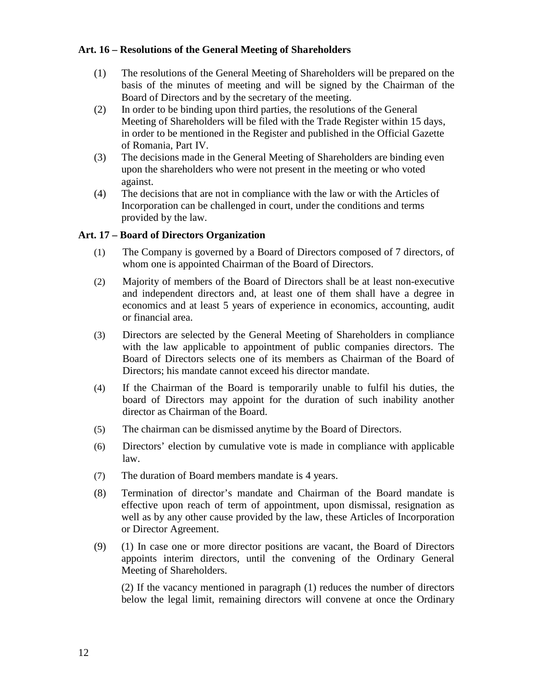#### **Art. 16 – Resolutions of the General Meeting of Shareholders**

- (1) The resolutions of the General Meeting of Shareholders will be prepared on the basis of the minutes of meeting and will be signed by the Chairman of the Board of Directors and by the secretary of the meeting.
- (2) In order to be binding upon third parties, the resolutions of the General Meeting of Shareholders will be filed with the Trade Register within 15 days, in order to be mentioned in the Register and published in the Official Gazette of Romania, Part IV.
- (3) The decisions made in the General Meeting of Shareholders are binding even upon the shareholders who were not present in the meeting or who voted against.
- (4) The decisions that are not in compliance with the law or with the Articles of Incorporation can be challenged in court, under the conditions and terms provided by the law.

#### **Art. 17 – Board of Directors Organization**

- (1) The Company is governed by a Board of Directors composed of 7 directors, of whom one is appointed Chairman of the Board of Directors.
- (2) Majority of members of the Board of Directors shall be at least non-executive and independent directors and, at least one of them shall have a degree in economics and at least 5 years of experience in economics, accounting, audit or financial area.
- (3) Directors are selected by the General Meeting of Shareholders in compliance with the law applicable to appointment of public companies directors. The Board of Directors selects one of its members as Chairman of the Board of Directors; his mandate cannot exceed his director mandate.
- (4) If the Chairman of the Board is temporarily unable to fulfil his duties, the board of Directors may appoint for the duration of such inability another director as Chairman of the Board.
- (5) The chairman can be dismissed anytime by the Board of Directors.
- (6) Directors' election by cumulative vote is made in compliance with applicable law.
- (7) The duration of Board members mandate is 4 years.
- (8) Termination of director's mandate and Chairman of the Board mandate is effective upon reach of term of appointment, upon dismissal, resignation as well as by any other cause provided by the law, these Articles of Incorporation or Director Agreement.
- (9) (1) In case one or more director positions are vacant, the Board of Directors appoints interim directors, until the convening of the Ordinary General Meeting of Shareholders.

(2) If the vacancy mentioned in paragraph (1) reduces the number of directors below the legal limit, remaining directors will convene at once the Ordinary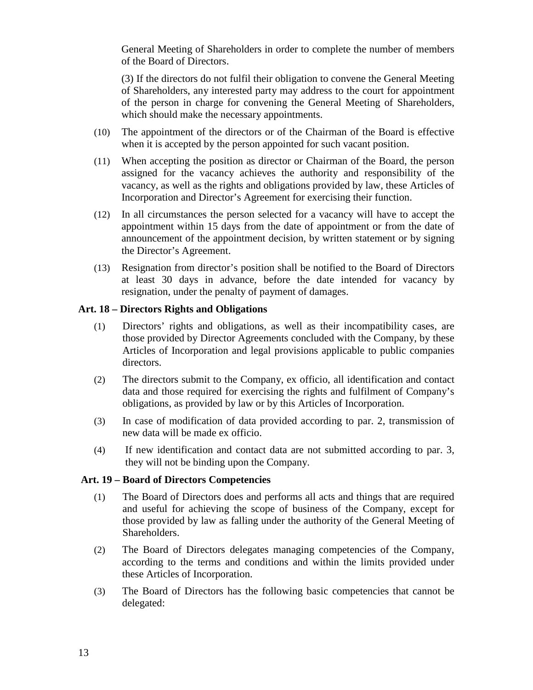General Meeting of Shareholders in order to complete the number of members of the Board of Directors.

(3) If the directors do not fulfil their obligation to convene the General Meeting of Shareholders, any interested party may address to the court for appointment of the person in charge for convening the General Meeting of Shareholders, which should make the necessary appointments.

- (10) The appointment of the directors or of the Chairman of the Board is effective when it is accepted by the person appointed for such vacant position.
- (11) When accepting the position as director or Chairman of the Board, the person assigned for the vacancy achieves the authority and responsibility of the vacancy, as well as the rights and obligations provided by law, these Articles of Incorporation and Director's Agreement for exercising their function.
- (12) In all circumstances the person selected for a vacancy will have to accept the appointment within 15 days from the date of appointment or from the date of announcement of the appointment decision, by written statement or by signing the Director's Agreement.
- (13) Resignation from director's position shall be notified to the Board of Directors at least 30 days in advance, before the date intended for vacancy by resignation, under the penalty of payment of damages.

#### **Art. 18 – Directors Rights and Obligations**

- (1) Directors' rights and obligations, as well as their incompatibility cases, are those provided by Director Agreements concluded with the Company, by these Articles of Incorporation and legal provisions applicable to public companies directors.
- (2) The directors submit to the Company, ex officio, all identification and contact data and those required for exercising the rights and fulfilment of Company's obligations, as provided by law or by this Articles of Incorporation.
- (3) In case of modification of data provided according to par. 2, transmission of new data will be made ex officio.
- (4) If new identification and contact data are not submitted according to par. 3, they will not be binding upon the Company.

#### **Art. 19 – Board of Directors Competencies**

- (1) The Board of Directors does and performs all acts and things that are required and useful for achieving the scope of business of the Company, except for those provided by law as falling under the authority of the General Meeting of Shareholders.
- (2) The Board of Directors delegates managing competencies of the Company, according to the terms and conditions and within the limits provided under these Articles of Incorporation.
- (3) The Board of Directors has the following basic competencies that cannot be delegated: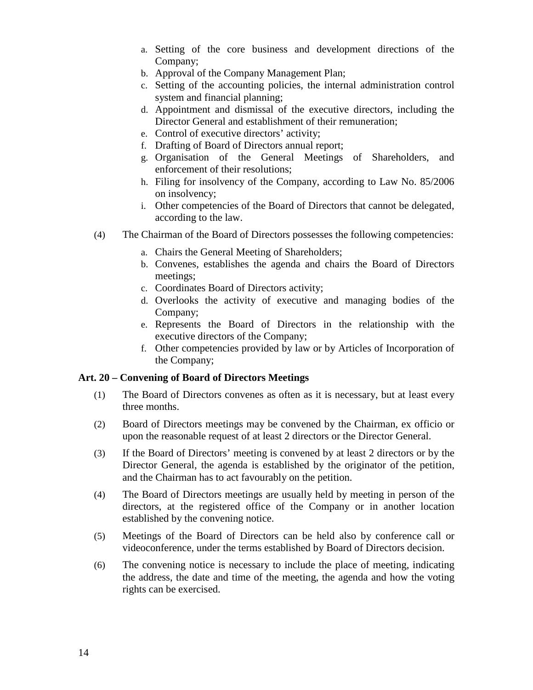- a. Setting of the core business and development directions of the Company;
- b. Approval of the Company Management Plan;
- c. Setting of the accounting policies, the internal administration control system and financial planning;
- d. Appointment and dismissal of the executive directors, including the Director General and establishment of their remuneration;
- e. Control of executive directors' activity;
- f. Drafting of Board of Directors annual report;
- g. Organisation of the General Meetings of Shareholders, and enforcement of their resolutions;
- h. Filing for insolvency of the Company, according to Law No. 85/2006 on insolvency;
- i. Other competencies of the Board of Directors that cannot be delegated, according to the law.
- (4) The Chairman of the Board of Directors possesses the following competencies:
	- a. Chairs the General Meeting of Shareholders;
	- b. Convenes, establishes the agenda and chairs the Board of Directors meetings;
	- c. Coordinates Board of Directors activity;
	- d. Overlooks the activity of executive and managing bodies of the Company;
	- e. Represents the Board of Directors in the relationship with the executive directors of the Company;
	- f. Other competencies provided by law or by Articles of Incorporation of the Company;

#### **Art. 20 – Convening of Board of Directors Meetings**

- (1) The Board of Directors convenes as often as it is necessary, but at least every three months.
- (2) Board of Directors meetings may be convened by the Chairman, ex officio or upon the reasonable request of at least 2 directors or the Director General.
- (3) If the Board of Directors' meeting is convened by at least 2 directors or by the Director General, the agenda is established by the originator of the petition, and the Chairman has to act favourably on the petition.
- (4) The Board of Directors meetings are usually held by meeting in person of the directors, at the registered office of the Company or in another location established by the convening notice.
- (5) Meetings of the Board of Directors can be held also by conference call or videoconference, under the terms established by Board of Directors decision.
- (6) The convening notice is necessary to include the place of meeting, indicating the address, the date and time of the meeting, the agenda and how the voting rights can be exercised.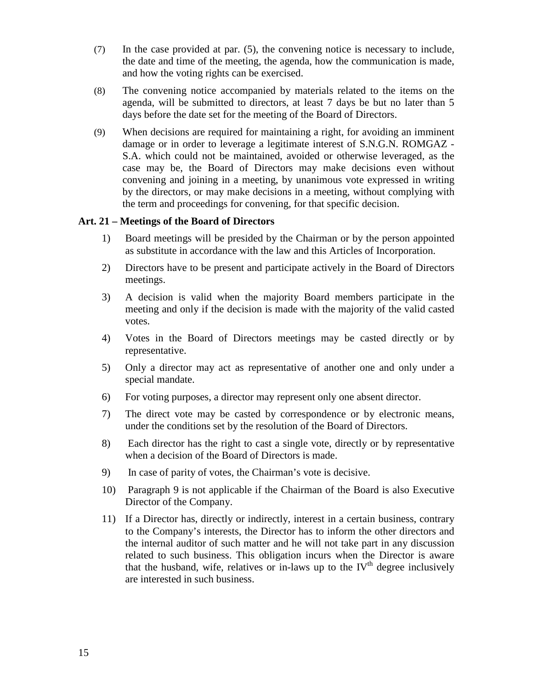- (7) In the case provided at par. (5), the convening notice is necessary to include, the date and time of the meeting, the agenda, how the communication is made, and how the voting rights can be exercised.
- (8) The convening notice accompanied by materials related to the items on the agenda, will be submitted to directors, at least 7 days be but no later than 5 days before the date set for the meeting of the Board of Directors.
- (9) When decisions are required for maintaining a right, for avoiding an imminent damage or in order to leverage a legitimate interest of S.N.G.N. ROMGAZ - S.A. which could not be maintained, avoided or otherwise leveraged, as the case may be, the Board of Directors may make decisions even without convening and joining in a meeting, by unanimous vote expressed in writing by the directors, or may make decisions in a meeting, without complying with the term and proceedings for convening, for that specific decision.

#### **Art. 21 – Meetings of the Board of Directors**

- 1) Board meetings will be presided by the Chairman or by the person appointed as substitute in accordance with the law and this Articles of Incorporation.
- 2) Directors have to be present and participate actively in the Board of Directors meetings.
- 3) A decision is valid when the majority Board members participate in the meeting and only if the decision is made with the majority of the valid casted votes.
- 4) Votes in the Board of Directors meetings may be casted directly or by representative.
- 5) Only a director may act as representative of another one and only under a special mandate.
- 6) For voting purposes, a director may represent only one absent director.
- 7) The direct vote may be casted by correspondence or by electronic means, under the conditions set by the resolution of the Board of Directors.
- 8) Each director has the right to cast a single vote, directly or by representative when a decision of the Board of Directors is made.
- 9) In case of parity of votes, the Chairman's vote is decisive.
- 10) Paragraph 9 is not applicable if the Chairman of the Board is also Executive Director of the Company.
- 11) If a Director has, directly or indirectly, interest in a certain business, contrary to the Company's interests, the Director has to inform the other directors and the internal auditor of such matter and he will not take part in any discussion related to such business. This obligation incurs when the Director is aware that the husband, wife, relatives or in-laws up to the  $IV<sup>th</sup>$  degree inclusively are interested in such business.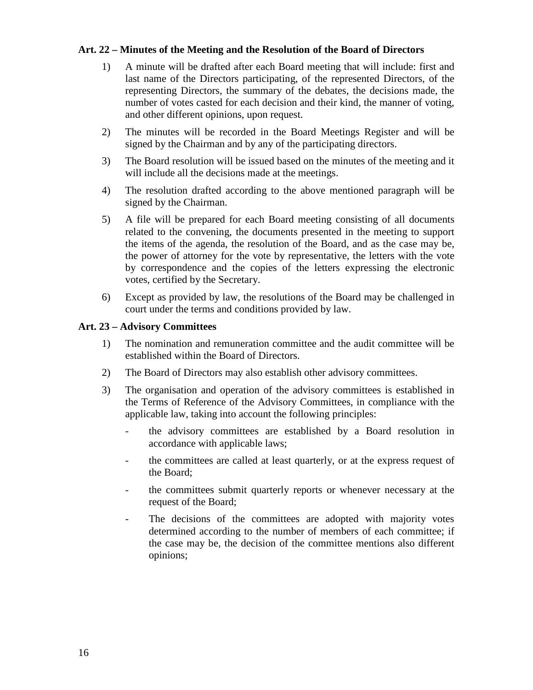#### **Art. 22 – Minutes of the Meeting and the Resolution of the Board of Directors**

- 1) A minute will be drafted after each Board meeting that will include: first and last name of the Directors participating, of the represented Directors, of the representing Directors, the summary of the debates, the decisions made, the number of votes casted for each decision and their kind, the manner of voting, and other different opinions, upon request.
- 2) The minutes will be recorded in the Board Meetings Register and will be signed by the Chairman and by any of the participating directors.
- 3) The Board resolution will be issued based on the minutes of the meeting and it will include all the decisions made at the meetings.
- 4) The resolution drafted according to the above mentioned paragraph will be signed by the Chairman.
- 5) A file will be prepared for each Board meeting consisting of all documents related to the convening, the documents presented in the meeting to support the items of the agenda, the resolution of the Board, and as the case may be, the power of attorney for the vote by representative, the letters with the vote by correspondence and the copies of the letters expressing the electronic votes, certified by the Secretary.
- 6) Except as provided by law, the resolutions of the Board may be challenged in court under the terms and conditions provided by law.

#### **Art. 23 – Advisory Committees**

- 1) The nomination and remuneration committee and the audit committee will be established within the Board of Directors.
- 2) The Board of Directors may also establish other advisory committees.
- 3) The organisation and operation of the advisory committees is established in the Terms of Reference of the Advisory Committees, in compliance with the applicable law, taking into account the following principles:
	- the advisory committees are established by a Board resolution in accordance with applicable laws;
	- the committees are called at least quarterly, or at the express request of the Board;
	- the committees submit quarterly reports or whenever necessary at the request of the Board;
	- The decisions of the committees are adopted with majority votes determined according to the number of members of each committee; if the case may be, the decision of the committee mentions also different opinions;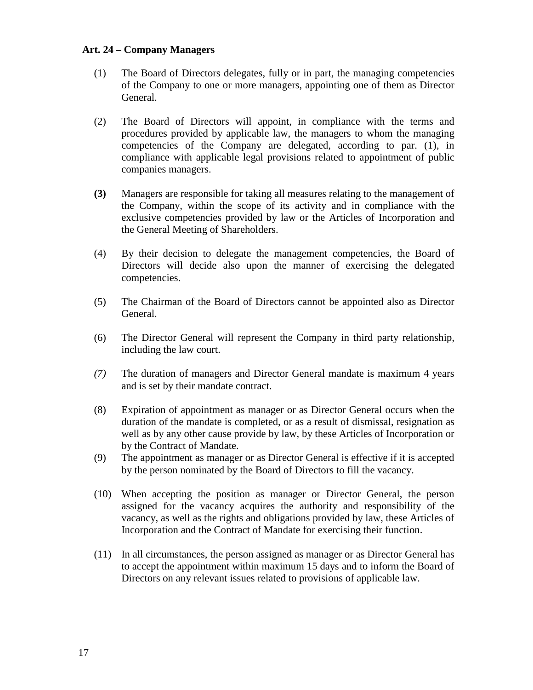#### **Art. 24 – Company Managers**

- (1) The Board of Directors delegates, fully or in part, the managing competencies of the Company to one or more managers, appointing one of them as Director General.
- (2) The Board of Directors will appoint, in compliance with the terms and procedures provided by applicable law, the managers to whom the managing competencies of the Company are delegated, according to par. (1), in compliance with applicable legal provisions related to appointment of public companies managers.
- **(3)** Managers are responsible for taking all measures relating to the management of the Company, within the scope of its activity and in compliance with the exclusive competencies provided by law or the Articles of Incorporation and the General Meeting of Shareholders.
- (4) By their decision to delegate the management competencies, the Board of Directors will decide also upon the manner of exercising the delegated competencies.
- (5) The Chairman of the Board of Directors cannot be appointed also as Director General.
- (6) The Director General will represent the Company in third party relationship, including the law court.
- *(7)* The duration of managers and Director General mandate is maximum 4 years and is set by their mandate contract.
- (8) Expiration of appointment as manager or as Director General occurs when the duration of the mandate is completed, or as a result of dismissal, resignation as well as by any other cause provide by law, by these Articles of Incorporation or by the Contract of Mandate.
- (9) The appointment as manager or as Director General is effective if it is accepted by the person nominated by the Board of Directors to fill the vacancy.
- (10) When accepting the position as manager or Director General, the person assigned for the vacancy acquires the authority and responsibility of the vacancy, as well as the rights and obligations provided by law, these Articles of Incorporation and the Contract of Mandate for exercising their function.
- (11) In all circumstances, the person assigned as manager or as Director General has to accept the appointment within maximum 15 days and to inform the Board of Directors on any relevant issues related to provisions of applicable law.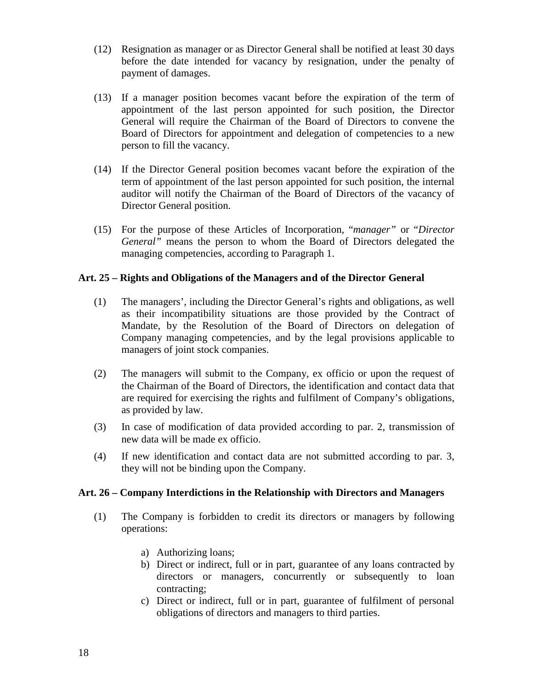- (12) Resignation as manager or as Director General shall be notified at least 30 days before the date intended for vacancy by resignation, under the penalty of payment of damages.
- (13) If a manager position becomes vacant before the expiration of the term of appointment of the last person appointed for such position, the Director General will require the Chairman of the Board of Directors to convene the Board of Directors for appointment and delegation of competencies to a new person to fill the vacancy.
- (14) If the Director General position becomes vacant before the expiration of the term of appointment of the last person appointed for such position, the internal auditor will notify the Chairman of the Board of Directors of the vacancy of Director General position.
- (15) For the purpose of these Articles of Incorporation, "*manager"* or "*Director General"* means the person to whom the Board of Directors delegated the managing competencies, according to Paragraph 1.

## **Art. 25 – Rights and Obligations of the Managers and of the Director General**

- (1) The managers', including the Director General's rights and obligations, as well as their incompatibility situations are those provided by the Contract of Mandate, by the Resolution of the Board of Directors on delegation of Company managing competencies, and by the legal provisions applicable to managers of joint stock companies.
- (2) The managers will submit to the Company, ex officio or upon the request of the Chairman of the Board of Directors, the identification and contact data that are required for exercising the rights and fulfilment of Company's obligations, as provided by law.
- (3) In case of modification of data provided according to par. 2, transmission of new data will be made ex officio.
- (4) If new identification and contact data are not submitted according to par. 3, they will not be binding upon the Company.

#### **Art. 26 – Company Interdictions in the Relationship with Directors and Managers**

- (1) The Company is forbidden to credit its directors or managers by following operations:
	- a) Authorizing loans;
	- b) Direct or indirect, full or in part, guarantee of any loans contracted by directors or managers, concurrently or subsequently to loan contracting;
	- c) Direct or indirect, full or in part, guarantee of fulfilment of personal obligations of directors and managers to third parties.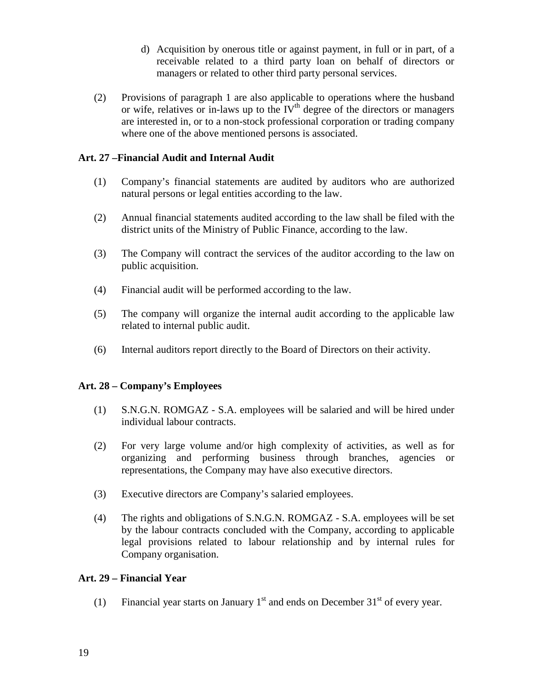- d) Acquisition by onerous title or against payment, in full or in part, of a receivable related to a third party loan on behalf of directors or managers or related to other third party personal services.
- (2) Provisions of paragraph 1 are also applicable to operations where the husband or wife, relatives or in-laws up to the  $IV<sup>th</sup>$  degree of the directors or managers are interested in, or to a non-stock professional corporation or trading company where one of the above mentioned persons is associated.

## **Art. 27 –Financial Audit and Internal Audit**

- (1) Company's financial statements are audited by auditors who are authorized natural persons or legal entities according to the law.
- (2) Annual financial statements audited according to the law shall be filed with the district units of the Ministry of Public Finance, according to the law.
- (3) The Company will contract the services of the auditor according to the law on public acquisition.
- (4) Financial audit will be performed according to the law.
- (5) The company will organize the internal audit according to the applicable law related to internal public audit.
- (6) Internal auditors report directly to the Board of Directors on their activity.

## **Art. 28 – Company's Employees**

- (1) S.N.G.N. ROMGAZ S.A. employees will be salaried and will be hired under individual labour contracts.
- (2) For very large volume and/or high complexity of activities, as well as for organizing and performing business through branches, agencies or representations, the Company may have also executive directors.
- (3) Executive directors are Company's salaried employees.
- (4) The rights and obligations of S.N.G.N. ROMGAZ S.A. employees will be set by the labour contracts concluded with the Company, according to applicable legal provisions related to labour relationship and by internal rules for Company organisation.

## **Art. 29 – Financial Year**

(1) Financial year starts on January  $1<sup>st</sup>$  and ends on December  $31<sup>st</sup>$  of every year.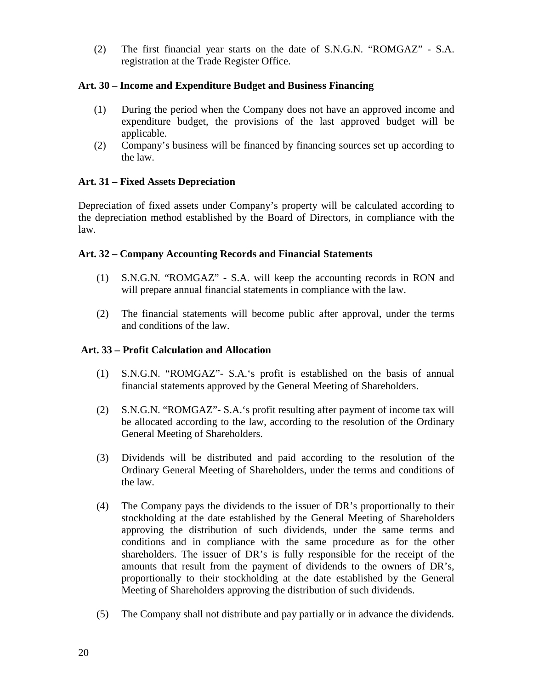(2) The first financial year starts on the date of S.N.G.N. "ROMGAZ" - S.A. registration at the Trade Register Office.

#### **Art. 30 – Income and Expenditure Budget and Business Financing**

- (1) During the period when the Company does not have an approved income and expenditure budget, the provisions of the last approved budget will be applicable.
- (2) Company's business will be financed by financing sources set up according to the law.

## **Art. 31 – Fixed Assets Depreciation**

Depreciation of fixed assets under Company's property will be calculated according to the depreciation method established by the Board of Directors, in compliance with the law.

## **Art. 32 – Company Accounting Records and Financial Statements**

- (1) S.N.G.N. "ROMGAZ" S.A. will keep the accounting records in RON and will prepare annual financial statements in compliance with the law.
- (2) The financial statements will become public after approval, under the terms and conditions of the law.

## **Art. 33 – Profit Calculation and Allocation**

- (1) S.N.G.N. "ROMGAZ"- S.A.'s profit is established on the basis of annual financial statements approved by the General Meeting of Shareholders.
- (2) S.N.G.N. "ROMGAZ"- S.A.'s profit resulting after payment of income tax will be allocated according to the law, according to the resolution of the Ordinary General Meeting of Shareholders.
- (3) Dividends will be distributed and paid according to the resolution of the Ordinary General Meeting of Shareholders, under the terms and conditions of the law.
- (4) The Company pays the dividends to the issuer of DR's proportionally to their stockholding at the date established by the General Meeting of Shareholders approving the distribution of such dividends, under the same terms and conditions and in compliance with the same procedure as for the other shareholders. The issuer of DR's is fully responsible for the receipt of the amounts that result from the payment of dividends to the owners of DR's, proportionally to their stockholding at the date established by the General Meeting of Shareholders approving the distribution of such dividends.
- (5) The Company shall not distribute and pay partially or in advance the dividends.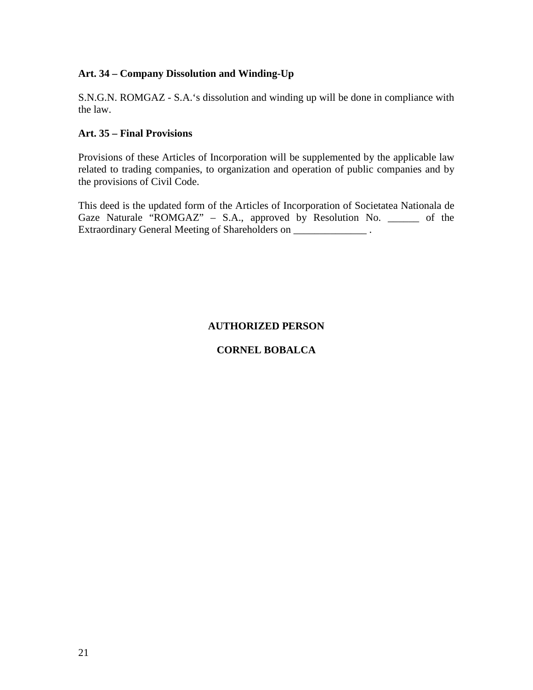## **Art. 34 – Company Dissolution and Winding-Up**

S.N.G.N. ROMGAZ - S.A.'s dissolution and winding up will be done in compliance with the law.

## **Art. 35 – Final Provisions**

Provisions of these Articles of Incorporation will be supplemented by the applicable law related to trading companies, to organization and operation of public companies and by the provisions of Civil Code.

This deed is the updated form of the Articles of Incorporation of Societatea Nationala de Gaze Naturale "ROMGAZ" – S.A., approved by Resolution No. \_\_\_\_\_\_ of the Extraordinary General Meeting of Shareholders on \_\_\_\_\_\_\_\_\_\_\_\_\_\_\_\_\_\_\_\_\_\_\_ .

## **AUTHORIZED PERSON**

## **CORNEL BOBALCA**